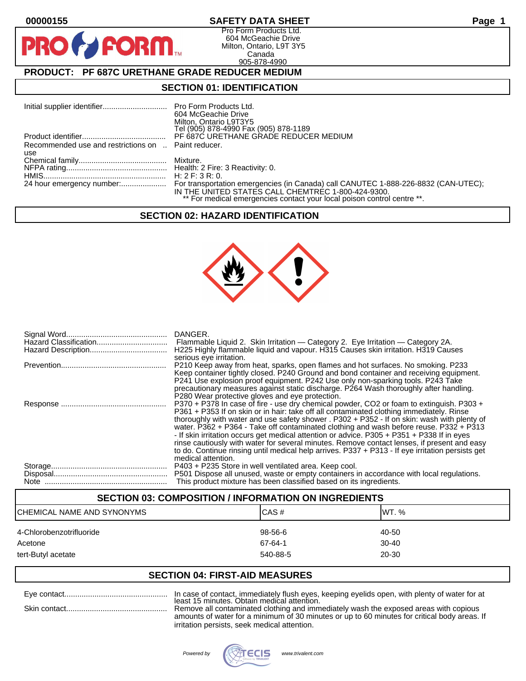$\mathbf{P}$ 

## **00000155 SAFETY DATA SHEET Page 1**

Pro Form Products Ltd. 604 McGeachie Drive Milton, Ontario, L9T 3Y5 Canada 905-878-4990

## **PRODUCT: PF 687C URETHANE GRADE REDUCER MEDIUM**

**FORM** 

## **SECTION 01: IDENTIFICATION**

|                                                     | 604 McGeachie Drive<br>Milton, Ontario L9T3Y5<br>Tel (905) 878-4990 Fax (905) 878-1189                                        |
|-----------------------------------------------------|-------------------------------------------------------------------------------------------------------------------------------|
|                                                     | PF 687C URETHANE GRADE REDUCER MEDIUM                                                                                         |
| Recommended use and restrictions on  Paint reducer. |                                                                                                                               |
| use                                                 |                                                                                                                               |
|                                                     |                                                                                                                               |
|                                                     |                                                                                                                               |
|                                                     |                                                                                                                               |
|                                                     | IN THE UNITED STATES CALL CHEMTREC 1-800-424-9300.<br>** For medical emergencies contact your local poison control centre **. |

## **SECTION 02: HAZARD IDENTIFICATION**



|      | DANGER.<br>H225 Highly flammable liquid and vapour. H315 Causes skin irritation. H319 Causes                                                                                                                                                                                                                                                                                                                                                                                                                                                                                                                                                                                                                                                            |
|------|---------------------------------------------------------------------------------------------------------------------------------------------------------------------------------------------------------------------------------------------------------------------------------------------------------------------------------------------------------------------------------------------------------------------------------------------------------------------------------------------------------------------------------------------------------------------------------------------------------------------------------------------------------------------------------------------------------------------------------------------------------|
|      | serious eye irritation.<br>P210 Keep away from heat, sparks, open flames and hot surfaces. No smoking. P233<br>Keep container tightly closed. P240 Ground and bond container and receiving equipment.<br>P241 Use explosion proof equipment. P242 Use only non-sparking tools. P243 Take<br>precautionary measures against static discharge. P264 Wash thoroughly after handling.                                                                                                                                                                                                                                                                                                                                                                       |
|      | P280 Wear protective gloves and eye protection.<br>P370 + P378 In case of fire - use dry chemical powder, CO2 or foam to extinguish. P303 +<br>P361 + P353 If on skin or in hair: take off all contaminated clothing immediately. Rinse<br>thoroughly with water and use safety shower . P302 + P352 - If on skin: wash with plenty of<br>water. P362 + P364 - Take off contaminated clothing and wash before reuse. P332 + P313<br>- If skin irritation occurs get medical attention or advice. P305 + P351 + P338 If in eyes<br>rinse cautiously with water for several minutes. Remove contact lenses, if present and easy<br>to do. Continue rinsing until medical help arrives. P337 + P313 - If eye irritation persists get<br>medical attention. |
| Note | P403 + P235 Store in well ventilated area. Keep cool.<br>P501 Dispose all unused, waste or empty containers in accordance with local regulations.<br>This product mixture has been classified based on its ingredients.                                                                                                                                                                                                                                                                                                                                                                                                                                                                                                                                 |

#### **SECTION 03: COMPOSITION / INFORMATION ON INGREDIENTS**

| ICHEMICAL NAME AND SYNONYMS   | CAS#                | IWT. %             |
|-------------------------------|---------------------|--------------------|
| 4-Chlorobenzotrifluoride      | 98-56-6             | 40-50              |
| Acetone<br>tert-Butyl acetate | 67-64-1<br>540-88-5 | $30 - 40$<br>20-30 |
|                               |                     |                    |

## **SECTION 04: FIRST-AID MEASURES**

|  | In case of contact, immediately flush eyes, keeping eyelids open, with                                           |
|--|------------------------------------------------------------------------------------------------------------------|
|  | least 15 minutes. Obtain medical attention.<br>Remove all contaminated clothing and immediately wash the exposed |
|  | amounts of water for a minimum of 30 minutes or up to 60 minutes for                                             |

d areas with copious ar for a minimum of 30 minutes or up to 60 minutes for critical body areas. If irritation persists, seek medical attention.

plenty of water for at

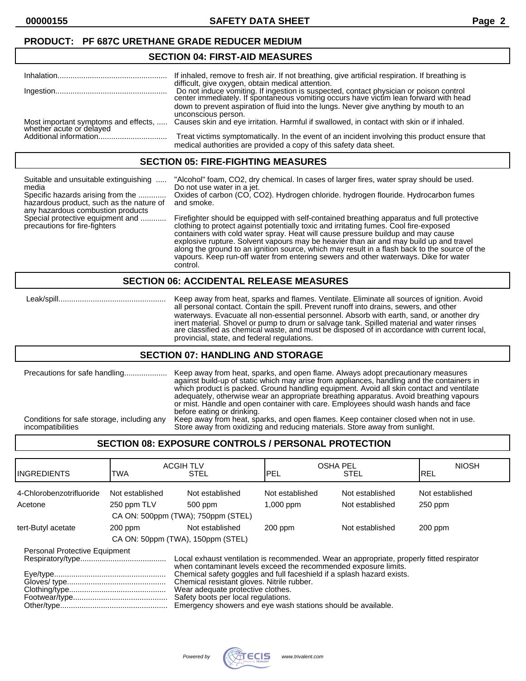## **SECTION 04: FIRST-AID MEASURES**

|                                                                  | If inhaled, remove to fresh air. If not breathing, give artificial respiration. If breathing is                                                                                                                                   |  |
|------------------------------------------------------------------|-----------------------------------------------------------------------------------------------------------------------------------------------------------------------------------------------------------------------------------|--|
|                                                                  | difficult, give oxygen, obtain medical attention.<br>Do not induce vomiting. If ingestion is suspected, contact physician or poison control center immediately. If spontaneous vomiting occurs have victim lean forward with head |  |
|                                                                  | down to prevent aspiration of fluid into the lungs. Never give anything by mouth to an<br>unconscious person.                                                                                                                     |  |
| Most important symptoms and effects,<br>whether acute or delayed | Causes skin and eye irritation. Harmful if swallowed, in contact with skin or if inhaled.                                                                                                                                         |  |
|                                                                  | Treat victims symptomatically. In the event of an incident involving this product ensure that<br>medical authorities are provided a copy of this safety data sheet.                                                               |  |

#### **SECTION 05: FIRE-FIGHTING MEASURES**

| Suitable and unsuitable extinguishing<br>media<br>Specific hazards arising from the<br>hazardous product, such as the nature of<br>any hazardous combustion products<br>Special protective equipment and<br>precautions for fire-fighters | "Alcohol" foam, CO2, dry chemical. In cases of larger fires, water spray should be used.<br>Do not use water in a jet.<br>Oxides of carbon (CO, CO2). Hydrogen chloride. hydrogen flouride. Hydrocarbon fumes<br>and smoke.                                                                                                                                                                                                                                                                                                                                            |  |
|-------------------------------------------------------------------------------------------------------------------------------------------------------------------------------------------------------------------------------------------|------------------------------------------------------------------------------------------------------------------------------------------------------------------------------------------------------------------------------------------------------------------------------------------------------------------------------------------------------------------------------------------------------------------------------------------------------------------------------------------------------------------------------------------------------------------------|--|
|                                                                                                                                                                                                                                           | Firefighter should be equipped with self-contained breathing apparatus and full protective<br>clothing to protect against potentially toxic and irritating fumes. Cool fire-exposed<br>containers with cold water spray. Heat will cause pressure buildup and may cause<br>explosive rupture. Solvent vapours may be heavier than air and may build up and travel<br>along the ground to an ignition source, which may result in a flash back to the source of the<br>vapours. Keep run-off water from entering sewers and other waterways. Dike for water<br>control. |  |
| <b>SECTION 06: ACCIDENTAL RELEASE MEASURES</b>                                                                                                                                                                                            |                                                                                                                                                                                                                                                                                                                                                                                                                                                                                                                                                                        |  |

 Leak/spill.................................................. Keep away from heat, sparks and flames. Ventilate. Eliminate all sources of ignition. Avoid all personal contact. Contain the spill. Prevent runoff into drains, sewers, and other waterways. Evacuate all non-essential personnel. Absorb with earth, sand, or another dry inert material. Shovel or pump to drum or salvage tank. Spilled material and water rinses are classified as chemical waste, and must be disposed of in accordance with current local, provincial, state, and federal regulations.

#### **SECTION 07: HANDLING AND STORAGE**

| Precautions for safe handling              | Keep away from heat, sparks, and open flame. Always adopt precautionary measures<br>against build-up of static which may arise from appliances, handling and the containers in<br>which product is packed. Ground handling equipment. Avoid all skin contact and ventilate<br>adequately, otherwise wear an appropriate breathing apparatus. Avoid breathing vapours<br>or mist. Handle and open container with care. Employees should wash hands and face<br>before eating or drinking. |
|--------------------------------------------|------------------------------------------------------------------------------------------------------------------------------------------------------------------------------------------------------------------------------------------------------------------------------------------------------------------------------------------------------------------------------------------------------------------------------------------------------------------------------------------|
| Conditions for safe storage, including any | Keep away from heat, sparks, and open flames. Keep container closed when not in use.                                                                                                                                                                                                                                                                                                                                                                                                     |
| incompatibilities                          | Store away from oxidizing and reducing materials. Store away from sunlight.                                                                                                                                                                                                                                                                                                                                                                                                              |

## **SECTION 08: EXPOSURE CONTROLS / PERSONAL PROTECTION**

| <b>I</b> INGREDIENTS                                                                                                                                                                                                                                                                                                                                                                                                                                              | <b>ACGIH TLV</b><br>TWA            | <b>STEL</b>     | <b>OSHA PEL</b><br>IPEL | <b>STEL</b>     | <b>NIOSH</b><br>IREL |
|-------------------------------------------------------------------------------------------------------------------------------------------------------------------------------------------------------------------------------------------------------------------------------------------------------------------------------------------------------------------------------------------------------------------------------------------------------------------|------------------------------------|-----------------|-------------------------|-----------------|----------------------|
| 4-Chlorobenzotrifluoride                                                                                                                                                                                                                                                                                                                                                                                                                                          | Not established                    | Not established | Not established         | Not established | Not established      |
| Acetone                                                                                                                                                                                                                                                                                                                                                                                                                                                           | 250 ppm TLV                        | 500 ppm         | $1,000$ ppm             | Not established | $250$ ppm            |
|                                                                                                                                                                                                                                                                                                                                                                                                                                                                   | CA ON: 500ppm (TWA); 750ppm (STEL) |                 |                         |                 |                      |
| tert-Butyl acetate                                                                                                                                                                                                                                                                                                                                                                                                                                                | $200$ ppm                          | Not established | $200$ ppm               | Not established | 200 ppm              |
|                                                                                                                                                                                                                                                                                                                                                                                                                                                                   | CA ON: 50ppm (TWA), 150ppm (STEL)  |                 |                         |                 |                      |
| Personal Protective Equipment<br>Local exhaust ventilation is recommended. Wear an appropriate, properly fitted respirator<br>when contaminant levels exceed the recommended exposure limits.<br>Chemical safety goggles and full faceshield if a splash hazard exists.<br>Chemical resistant gloves. Nitrile rubber.<br>Wear adequate protective clothes.<br>Safety boots per local regulations.<br>Emergency showers and eye wash stations should be available. |                                    |                 |                         |                 |                      |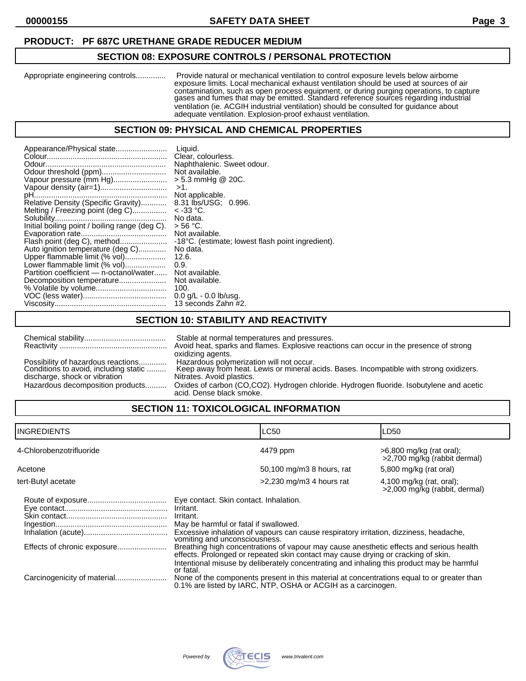## **PRODUCT: PF 687C URETHANE GRADE REDUCER MEDIUM**

## **SECTION 08: EXPOSURE CONTROLS / PERSONAL PROTECTION**

Appropriate engineering controls.............. Provide natural or mechanical ventilation to control exposure levels below airborne exposure limits. Local mechanical exhaust ventilation should be used at sources of air contamination, such as open process equipment, or during purging operations, to capture gases and fumes that may be emitted. Standard reference sources regarding industrial ventilation (ie. ACGIH industrial ventilation) should be consulted for guidance about adequate ventilation. Explosion-proof exhaust ventilation.

## **SECTION 09: PHYSICAL AND CHEMICAL PROPERTIES**

## **SECTION 10: STABILITY AND REACTIVITY**

|                                                                                                                                                  | Stable at normal temperatures and pressures.                                                                                                                                                                                                                                                                 |
|--------------------------------------------------------------------------------------------------------------------------------------------------|--------------------------------------------------------------------------------------------------------------------------------------------------------------------------------------------------------------------------------------------------------------------------------------------------------------|
|                                                                                                                                                  | Avoid heat, sparks and flames. Explosive reactions can occur in the presence of strong                                                                                                                                                                                                                       |
| Possibility of hazardous reactions<br>Conditions to avoid, including static<br>discharge, shock or vibration<br>Hazardous decomposition products | oxidizing agents.<br>Hazardous polymerization will not occur.<br>Keep away from heat. Lewis or mineral acids. Bases. Incompatible with strong oxidizers.<br>Nitrates. Avoid plastics.<br>Oxides of carbon (CO,CO2). Hydrogen chloride. Hydrogen fluoride. Isobutylene and acetic<br>acid. Dense black smoke. |

## **SECTION 11: TOXICOLOGICAL INFORMATION**

| <b>INGREDIENTS</b>       |                                                                                                                                                         | <b>LC50</b>                                                                                                                                                                                                                                                                                                                                                         | LD50                                                        |
|--------------------------|---------------------------------------------------------------------------------------------------------------------------------------------------------|---------------------------------------------------------------------------------------------------------------------------------------------------------------------------------------------------------------------------------------------------------------------------------------------------------------------------------------------------------------------|-------------------------------------------------------------|
| 4-Chlorobenzotrifluoride |                                                                                                                                                         | 4479 ppm                                                                                                                                                                                                                                                                                                                                                            | $>6,800$ mg/kg (rat oral);<br>>2,700 mg/kg (rabbit dermal)  |
| Acetone                  |                                                                                                                                                         | 50,100 mg/m3 8 hours, rat                                                                                                                                                                                                                                                                                                                                           | 5,800 mg/kg (rat oral)                                      |
| tert-Butyl acetate       |                                                                                                                                                         | $>2,230$ mg/m3 4 hours rat                                                                                                                                                                                                                                                                                                                                          | $4,100$ mg/kg (rat, oral);<br>>2,000 mg/kg (rabbit, dermal) |
|                          | Eye contact. Skin contact. Inhalation.<br>Irritant.<br>Irritant.<br>May be harmful or fatal if swallowed.<br>vomiting and unconsciousness.<br>or fatal. | Excessive inhalation of vapours can cause respiratory irritation, dizziness, headache,<br>Breathing high concentrations of vapour may cause anesthetic effects and serious health<br>effects. Prolonged or repeated skin contact may cause drying or cracking of skin.<br>Intentional misuse by deliberately concentrating and inhaling this product may be harmful |                                                             |
|                          |                                                                                                                                                         | None of the components present in this material at concentrations equal to or greater than<br>0.1% are listed by IARC, NTP, OSHA or ACGIH as a carcinogen.                                                                                                                                                                                                          |                                                             |